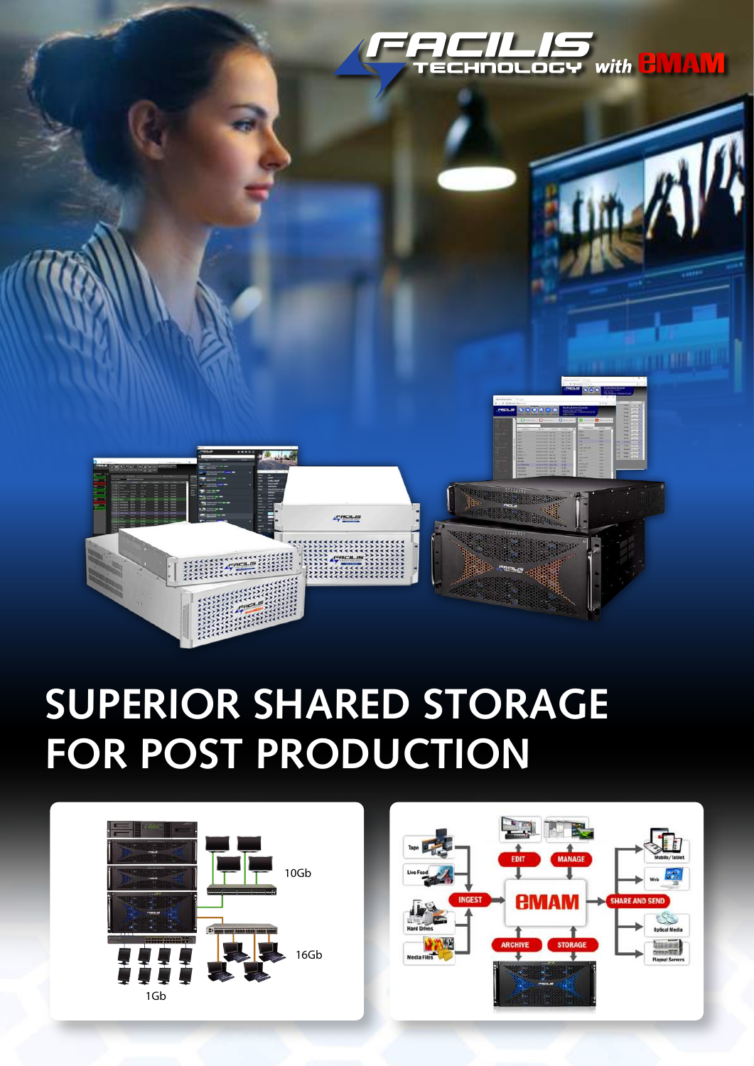

## **SUPERIOR SHARED STORAGE FOR POST PRODUCTION**

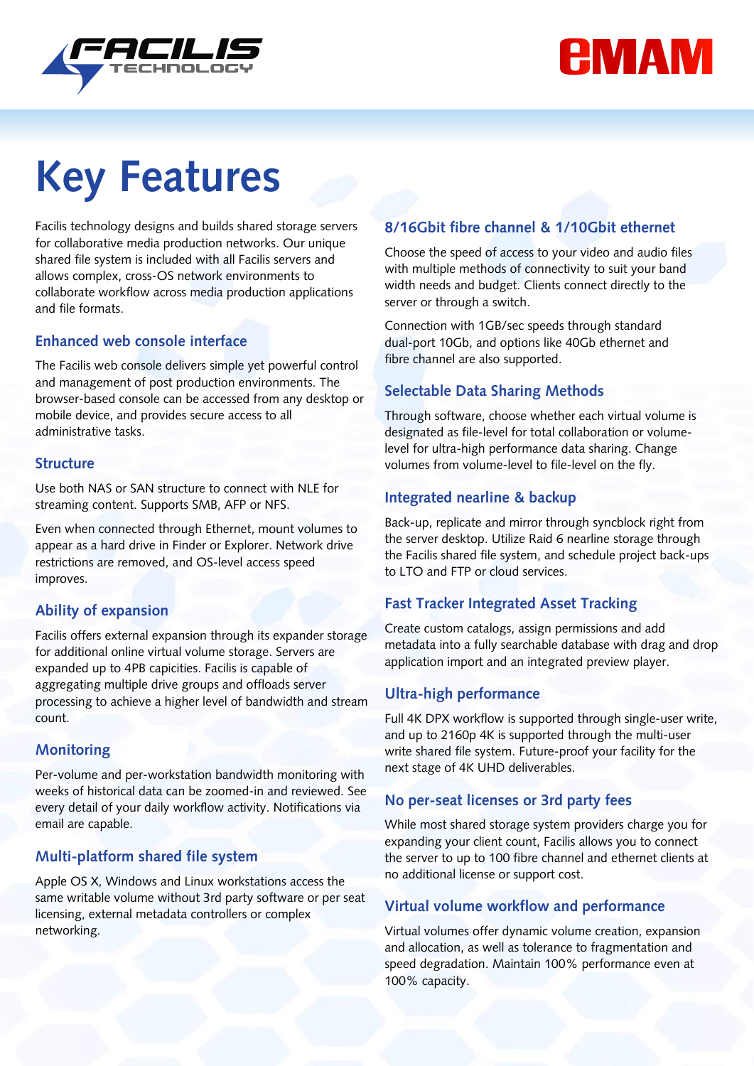



# **Key Features**

Facilis technology designs and builds shared storage servers for collaborative media production networks. Our unique shared file system is included with all Facilis servers and allows complex, cross-OS network environments to collaborate workflow across media production applications and file formats.

#### **Enhanced web console interface**

The Facilis web console delivers simple yet powerful control and management of post production environments. The browser-based console can be accessed from any desktop or mobile device, and provides secure access to all administrative tasks.

#### **Structure**

Use both NAS or SAN structure to connect with NLE for streaming content. Supports SMB, AFP or NFS.

Even when connected through Ethernet, mount volumes to appear as a hard drive in Finder or Explorer. Network drive restrictions are removed, and OS-level access speed improves.

#### **Ability of expansion**

Facilis offers external expansion through its expander storage for additional online virtual volume storage. Servers are expanded up to 4PB capicities. Facilis is capable of aggregating multiple drive groups and offloads server processing to achieve a higher level of bandwidth and stream count.

#### **Monitoring**

Per-volume and per-workstation bandwidth monitoring with weeks of historical data can be zoomed-in and reviewed. See every detail of your daily workflow activity. Notifications via email are capable.

#### **Multi-platform shared file system**

Apple OS X, Windows and Linux workstations access the same writable volume without 3rd party software or per seat licensing, external metadata controllers or complex networking.

#### **8/16Gbit fibre channel & 1/10Gbit ethernet**

Choose the speed of access to your video and audio files with multiple methods of connectivity to suit your band width needs and budget. Clients connect directly to the server or through a switch.

Connection with 1GB/sec speeds through standard dual-port 10Gb, and options like 40Gb ethernet and fibre channel are also supported.

#### **Selectable Data Sharing Methods**

Through software, choose whether each virtual volume is designated as file-level for total collaboration or volumelevel for ultra-high performance data sharing. Change volumes from volume-level to file-level on the fly.

#### **Integrated nearline & backup**

Back-up, replicate and mirror through syncblock right from the server desktop. Utilize Raid 6 nearline storage through the Facilis shared file system, and schedule project back-ups to LTO and FTP or cloud services.

#### **Fast Tracker Integrated Asset Tracking**

Create custom catalogs, assign permissions and add metadata into a fully searchable database with drag and drop application import and an integrated preview player.

#### **Ultra-high performance**

Full 4K DPX workflow is supported through single-user write, and up to 2160p 4K is supported through the multi-user write shared file system. Future-proof your facility for the next stage of 4K UHD deliverables.

#### **No per-seat licenses or 3rd party fees**

While most shared storage system providers charge you for expanding your client count, Facilis allows you to connect the server to up to 100 fibre channel and ethernet clients at no additional license or support cost.

#### **Virtual volume workflow and performance**

Virtual volumes offer dynamic volume creation, expansion and allocation, as well as tolerance to fragmentation and speed degradation. Maintain 100% performance even at 100% capacity.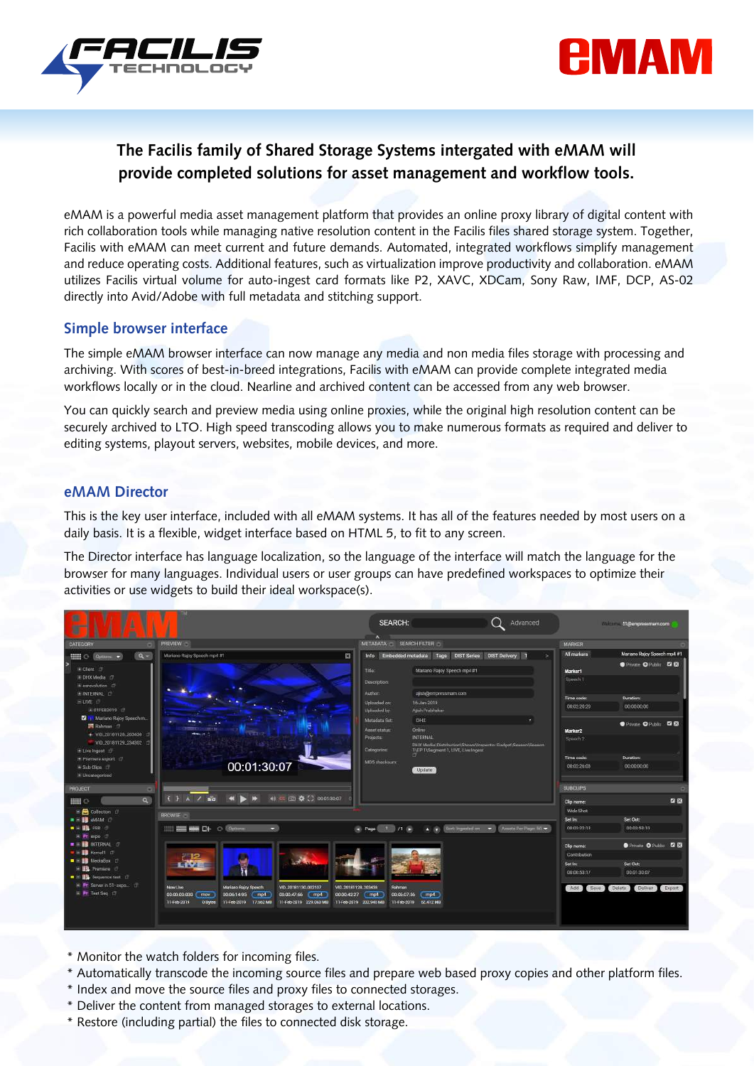



#### **The Facilis family of Shared Storage Systems intergated with eMAM will provide completed solutions for asset management and workflow tools.**

eMAM is a powerful media asset management platform that provides an online proxy library of digital content with rich collaboration tools while managing native resolution content in the Facilis files shared storage system. Together, Facilis with eMAM can meet current and future demands. Automated, integrated workflows simplify management and reduce operating costs. Additional features, such as virtualization improve productivity and collaboration. eMAM utilizes Facilis virtual volume for auto-ingest card formats like P2, XAVC, XDCam, Sony Raw, IMF, DCP, AS-02 directly into Avid/Adobe with full metadata and stitching support.

#### **Simple browser interface**

The simple eMAM browser interface can now manage any media and non media files storage with processing and archiving. With scores of best-in-breed integrations, Facilis with eMAM can provide complete integrated media workflows locally or in the cloud. Nearline and archived content can be accessed from any web browser.

You can quickly search and preview media using online proxies, while the original high resolution content can be securely archived to LTO. High speed transcoding allows you to make numerous formats as required and deliver to editing systems, playout servers, websites, mobile devices, and more.

#### **eMAM Director**

This is the key user interface, included with all eMAM systems. It has all of the features needed by most users on a daily basis. It is a flexible, widget interface based on HTML 5, to fit to any screen.

The Director interface has language localization, so the language of the interface will match the language for the browser for many languages. Individual users or user groups can have predefined workspaces to optimize their activities or use widgets to build their ideal workspace(s).

| 朋<br>ш                                                                                                                     |                                                                                                                                                                                                                                                                                                                                                      | <b>SFARCH:</b><br>Advanced<br>۸                                                                                                           |                                                     | William 57 Bempressmam.com                                     |
|----------------------------------------------------------------------------------------------------------------------------|------------------------------------------------------------------------------------------------------------------------------------------------------------------------------------------------------------------------------------------------------------------------------------------------------------------------------------------------------|-------------------------------------------------------------------------------------------------------------------------------------------|-----------------------------------------------------|----------------------------------------------------------------|
| <b>CATEGORY</b>                                                                                                            | <b>PREVIEW</b>                                                                                                                                                                                                                                                                                                                                       | METADATA SEARCH FILTER                                                                                                                    | <b>MARKER</b>                                       |                                                                |
| $a -$<br><b>Hill C</b> Options v                                                                                           | Mariano Rajoy Speech rop4 #1<br>図                                                                                                                                                                                                                                                                                                                    | Info Embedded metadata<br><b>DIST Senes</b><br>Tags<br><b>DIST Delivery 1</b>                                                             | All markets                                         | Mariano Rajoy Speech mp4 #1<br><b>O</b> Private O Public E E . |
| E Client IT                                                                                                                |                                                                                                                                                                                                                                                                                                                                                      | Tale<br>Mariano Rajoy Speech mp4 #1                                                                                                       | Marker1                                             |                                                                |
| ⊞ DHX Media □<br>E estrevolution 17                                                                                        |                                                                                                                                                                                                                                                                                                                                                      | <b>Description:</b>                                                                                                                       | Speech II                                           |                                                                |
| <b>E INTERNAL</b><br><b>SIME IT</b>                                                                                        |                                                                                                                                                                                                                                                                                                                                                      | Author:<br>ajsh@empressmam.com                                                                                                            | Time code:                                          | <b>Dunation:</b>                                               |
| + 01FEB2019                                                                                                                |                                                                                                                                                                                                                                                                                                                                                      | Uploaded on:<br>16-Jan-2019<br>Unloaded by:<br>Alish Pratitiakar                                                                          | 0002:20:20                                          | 00:00:00:00                                                    |
| Mariano Rajoy Speech m.<br>Rahman 17<br>+ VIO_20181128_203438                                                              |                                                                                                                                                                                                                                                                                                                                                      | Mutadata Sat<br><b>DHX</b><br>Ordine<br>Asset status:                                                                                     | Marker <sub>2</sub>                                 | Private O Public <b>E E</b>                                    |
| VID.20181129.234302<br>E-LiveTngent (T)                                                                                    |                                                                                                                                                                                                                                                                                                                                                      | INTERNAL<br>Projects<br>THX Media\Distribution\Shows\Inspector Gadget\Season\Season<br>Categorien:<br>TIEP 1\Segment 1, LIVE, Live Ingest | Speech <sub>2</sub>                                 |                                                                |
| F Premiere export                                                                                                          |                                                                                                                                                                                                                                                                                                                                                      | MD5 checkeum                                                                                                                              | Time code:                                          | <b>Duration:</b>                                               |
| Sub Clos<br>In Uncategorized                                                                                               | 00:01:30:07                                                                                                                                                                                                                                                                                                                                          | Update                                                                                                                                    | 00:02:26:03                                         | 00:00:00:00                                                    |
| PROJECT                                                                                                                    |                                                                                                                                                                                                                                                                                                                                                      |                                                                                                                                           | <b>SUBCLIPS</b>                                     |                                                                |
| $\alpha$<br><b>HELO</b>                                                                                                    | 48 CE (07 Q (3 00:01:00:07<br>- 19<br>$\sqrt{ }$<br>n'a                                                                                                                                                                                                                                                                                              |                                                                                                                                           | Clip name:                                          | 四级                                                             |
| <b>B</b> Collection (                                                                                                      | <b>BROWSE</b>                                                                                                                                                                                                                                                                                                                                        |                                                                                                                                           | Wide Shot                                           |                                                                |
| $\blacksquare$ = $\blacksquare$ $\blacksquare$ $\blacksquare$                                                              |                                                                                                                                                                                                                                                                                                                                                      |                                                                                                                                           | Set In:                                             | Set Out:                                                       |
| $\bullet$ + $\bullet$ ESR +<br><b>Primpo</b><br>$\blacksquare$ $\blacksquare$ $\blacksquare$ $\blacksquare$ $\blacksquare$ | <b>HEEWA</b><br><b>C <i><u>Chpbons</u></i></b><br><b>D</b>                                                                                                                                                                                                                                                                                           | Assets Per Page 50<br>Sort: Ingenind on                                                                                                   | 0013:22:13                                          | 00:03:53:10                                                    |
|                                                                                                                            |                                                                                                                                                                                                                                                                                                                                                      |                                                                                                                                           | Clip name:                                          | Private O Public <b>&amp; E</b>                                |
| <b>E E Kensel1</b> CT<br><b>D B</b> MedinBox <b>E</b>                                                                      |                                                                                                                                                                                                                                                                                                                                                      |                                                                                                                                           | Contribution                                        |                                                                |
| H <b>ID</b> Promiere (7)                                                                                                   |                                                                                                                                                                                                                                                                                                                                                      |                                                                                                                                           | Set in:                                             | Set Out:                                                       |
| <b>B B</b> Sequence test L                                                                                                 |                                                                                                                                                                                                                                                                                                                                                      |                                                                                                                                           | 00:00:53:17                                         | 00:01:30:07                                                    |
| El Pr Server in 51-expos. (7)<br>E Pr Test Seq. 17                                                                         | Mariano Rajoy Speech<br>New Live<br>VID 20181130 002107<br>VID 20181128 203438<br>Rehman<br>00:00:42:27 [ mp4<br>00:00:00:000<br>00:06:14:95 mp4<br>00:00:47:66 mp4<br>00060756<br>mp4<br><b>CEOV</b><br>11-Feb-2019 17.662 MB<br>11-Feb-2019 229.063 MB<br>11-Feb-2019 202-945 MB<br>62.472 MB<br>11 <del>Feb</del> -2019<br>0 Bytes<br>11-Feb-2019 |                                                                                                                                           | Delete<br><b>Deliver</b><br>Export<br>Add<br>Save : |                                                                |

- \* Monitor the watch folders for incoming files.
- \* Automatically transcode the incoming source files and prepare web based proxy copies and other platform files.
- \* Index and move the source files and proxy files to connected storages.
- \* Deliver the content from managed storages to external locations.
- \* Restore (including partial) the files to connected disk storage.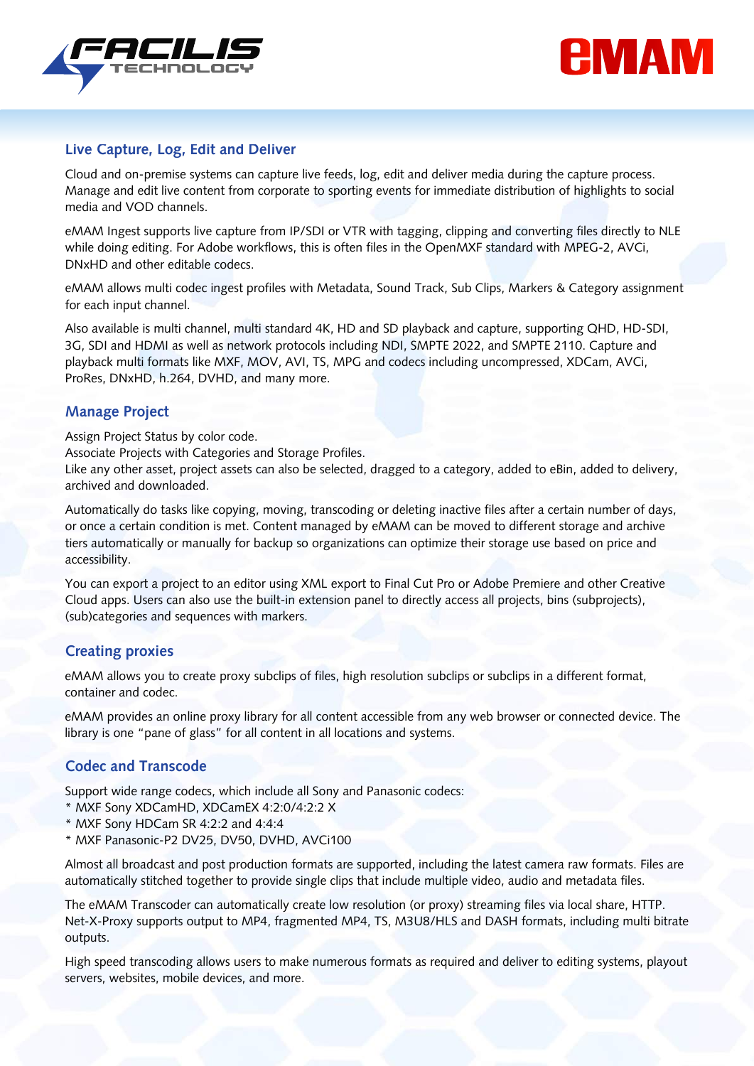



#### **Live Capture, Log, Edit and Deliver**

Cloud and on-premise systems can capture live feeds, log, edit and deliver media during the capture process. Manage and edit live content from corporate to sporting events for immediate distribution of highlights to social media and VOD channels.

eMAM Ingest supports live capture from IP/SDI or VTR with tagging, clipping and converting files directly to NLE while doing editing. For Adobe workflows, this is often files in the OpenMXF standard with MPEG-2, AVCi, DNxHD and other editable codecs.

eMAM allows multi codec ingest profiles with Metadata, Sound Track, Sub Clips, Markers & Category assignment for each input channel.

Also available is multi channel, multi standard 4K, HD and SD playback and capture, supporting QHD, HD-SDI, 3G, SDI and HDMI as well as network protocols including NDI, SMPTE 2022, and SMPTE 2110. Capture and playback multi formats like MXF, MOV, AVI, TS, MPG and codecs including uncompressed, XDCam, AVCi, ProRes, DNxHD, h.264, DVHD, and many more.

#### **Manage Project**

Assign Project Status by color code.

Associate Projects with Categories and Storage Profiles.

Like any other asset, project assets can also be selected, dragged to a category, added to eBin, added to delivery, archived and downloaded.

Automatically do tasks like copying, moving, transcoding or deleting inactive files after a certain number of days, or once a certain condition is met. Content managed by eMAM can be moved to different storage and archive tiers automatically or manually for backup so organizations can optimize their storage use based on price and accessibility.

You can export a project to an editor using XML export to Final Cut Pro or Adobe Premiere and other Creative Cloud apps. Users can also use the built-in extension panel to directly access all projects, bins (subprojects), (sub)categories and sequences with markers.

#### **Creating proxies**

eMAM allows you to create proxy subclips of files, high resolution subclips or subclips in a different format, container and codec.

eMAM provides an online proxy library for all content accessible from any web browser or connected device. The library is one "pane of glass" for all content in all locations and systems.

#### **Codec and Transcode**

Support wide range codecs, which include all Sony and Panasonic codecs:

- \* MXF Sony XDCamHD, XDCamEX 4:2:0/4:2:2 X
- \* MXF Sony HDCam SR 4:2:2 and 4:4:4
- \* MXF Panasonic-P2 DV25, DV50, DVHD, AVCi100

Almost all broadcast and post production formats are supported, including the latest camera raw formats. Files are automatically stitched together to provide single clips that include multiple video, audio and metadata files.

The eMAM Transcoder can automatically create low resolution (or proxy) streaming files via local share, HTTP. Net-X-Proxy supports output to MP4, fragmented MP4, TS, M3U8/HLS and DASH formats, including multi bitrate outputs.

High speed transcoding allows users to make numerous formats as required and deliver to editing systems, playout servers, websites, mobile devices, and more.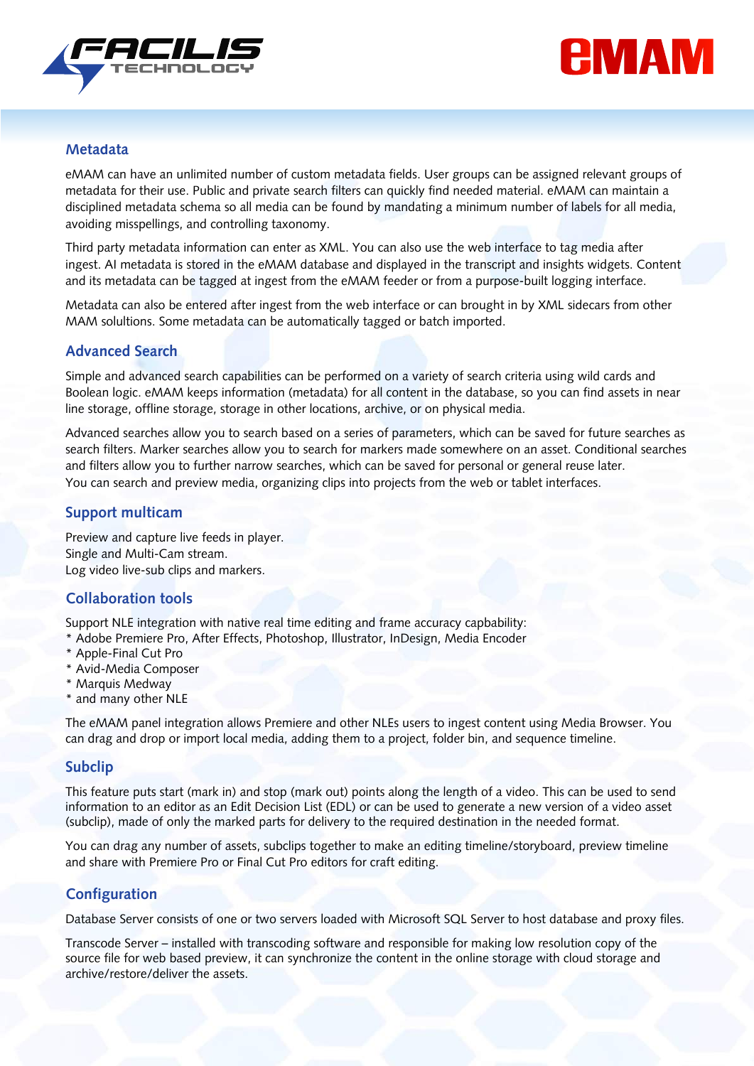



#### **Metadata**

eMAM can have an unlimited number of custom metadata fields. User groups can be assigned relevant groups of metadata for their use. Public and private search filters can quickly find needed material. eMAM can maintain a disciplined metadata schema so all media can be found by mandating a minimum number of labels for all media, avoiding misspellings, and controlling taxonomy.

Third party metadata information can enter as XML. You can also use the web interface to tag media after ingest. AI metadata is stored in the eMAM database and displayed in the transcript and insights widgets. Content and its metadata can be tagged at ingest from the eMAM feeder or from a purpose-built logging interface.

Metadata can also be entered after ingest from the web interface or can brought in by XML sidecars from other MAM solultions. Some metadata can be automatically tagged or batch imported.

#### **Advanced Search**

Simple and advanced search capabilities can be performed on a variety of search criteria using wild cards and Boolean logic. eMAM keeps information (metadata) for all content in the database, so you can find assets in near line storage, offline storage, storage in other locations, archive, or on physical media.

Advanced searches allow you to search based on a series of parameters, which can be saved for future searches as search filters. Marker searches allow you to search for markers made somewhere on an asset. Conditional searches and filters allow you to further narrow searches, which can be saved for personal or general reuse later. You can search and preview media, organizing clips into projects from the web or tablet interfaces.

#### **Support multicam**

Preview and capture live feeds in player. Single and Multi-Cam stream. Log video live-sub clips and markers.

#### **Collaboration tools**

Support NLE integration with native real time editing and frame accuracy capbability:

- \* Adobe Premiere Pro, After Effects, Photoshop, Illustrator, InDesign, Media Encoder
- \* Apple-Final Cut Pro
- \* Avid-Media Composer
- \* Marquis Medway
- \* and many other NLE

The eMAM panel integration allows Premiere and other NLEs users to ingest content using Media Browser. You can drag and drop or import local media, adding them to a project, folder bin, and sequence timeline.

#### **Subclip**

This feature puts start (mark in) and stop (mark out) points along the length of a video. This can be used to send information to an editor as an Edit Decision List (EDL) or can be used to generate a new version of a video asset (subclip), made of only the marked parts for delivery to the required destination in the needed format.

You can drag any number of assets, subclips together to make an editing timeline/storyboard, preview timeline and share with Premiere Pro or Final Cut Pro editors for craft editing.

#### **Configuration**

Database Server consists of one or two servers loaded with Microsoft SQL Server to host database and proxy files.

Transcode Server – installed with transcoding software and responsible for making low resolution copy of the source file for web based preview, it can synchronize the content in the online storage with cloud storage and archive/restore/deliver the assets.